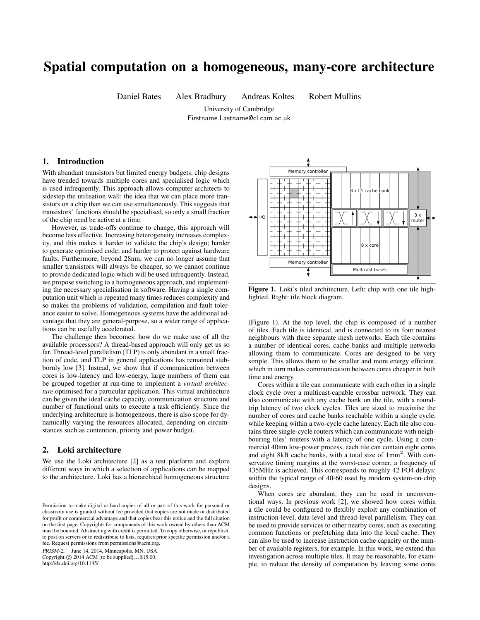# Spatial computation on a homogeneous, many-core architecture

Daniel Bates Alex Bradbury Andreas Koltes Robert Mullins

University of Cambridge Firstname.Lastname@cl.cam.ac.uk

# 1. Introduction

With abundant transistors but limited energy budgets, chip designs have trended towards multiple cores and specialised logic which is used infrequently. This approach allows computer architects to sidestep the utilisation wall: the idea that we can place more transistors on a chip than we can use simultaneously. This suggests that transistors' functions should be specialised, so only a small fraction of the chip need be active at a time.

However, as trade-offs continue to change, this approach will become less effective. Increasing heterogeneity increases complexity, and this makes it harder to validate the chip's design; harder to generate optimised code; and harder to protect against hardware faults. Furthermore, beyond 28nm, we can no longer assume that smaller transistors will always be cheaper, so we cannot continue to provide dedicated logic which will be used infrequently. Instead, we propose switching to a homogeneous approach, and implementing the necessary specialisation in software. Having a single computation unit which is repeated many times reduces complexity and so makes the problems of validation, compilation and fault tolerance easier to solve. Homogeneous systems have the additional advantage that they are general-purpose, so a wider range of applications can be usefully accelerated.

The challenge then becomes: how do we make use of all the available processors? A thread-based approach will only get us so far. Thread-level parallelism (TLP) is only abundant in a small fraction of code, and TLP in general applications has remained stubbornly low [3]. Instead, we show that if communication between cores is low-latency and low-energy, large numbers of them can be grouped together at run-time to implement a *virtual architecture* optimised for a particular application. This virtual architecture can be given the ideal cache capacity, communication structure and number of functional units to execute a task efficiently. Since the underlying architecture is homogeneous, there is also scope for dynamically varying the resources allocated, depending on circumstances such as contention, priority and power budget.

## 2. Loki architecture

We use the Loki architecture [2] as a test platform and explore different ways in which a selection of applications can be mapped to the architecture. Loki has a hierarchical homogeneous structure

PRISM-2, June 14, 2014, Minneapolis, MN, USA.

Copyright  $\odot$  2014 ACM [to be supplied]...\$15.00.

http://dx.doi.org/10.1145/



Figure 1. Loki's tiled architecture. Left: chip with one tile highlighted. Right: tile block diagram.

(Figure 1). At the top level, the chip is composed of a number of tiles. Each tile is identical, and is connected to its four nearest neighbours with three separate mesh networks. Each tile contains a number of identical cores, cache banks and multiple networks allowing them to communicate. Cores are designed to be very simple. This allows them to be smaller and more energy efficient, which in turn makes communication between cores cheaper in both time and energy.

Cores within a tile can communicate with each other in a single clock cycle over a multicast-capable crossbar network. They can also communicate with any cache bank on the tile, with a roundtrip latency of two clock cycles. Tiles are sized to maximise the number of cores and cache banks reachable within a single cycle, while keeping within a two-cycle cache latency. Each tile also contains three single-cycle routers which can communicate with neighbouring tiles' routers with a latency of one cycle. Using a commercial 40nm low-power process, each tile can contain eight cores and eight 8kB cache banks, with a total size of 1mm<sup>2</sup>. With conservative timing margins at the worst-case corner, a frequency of 435MHz is achieved. This corresponds to roughly 42 FO4 delays: within the typical range of 40-60 used by modern system-on-chip designs.

When cores are abundant, they can be used in unconventional ways. In previous work [2], we showed how cores within a tile could be configured to flexibly exploit any combination of instruction-level, data-level and thread-level parallelism. They can be used to provide services to other nearby cores, such as executing common functions or prefetching data into the local cache. They can also be used to increase instruction cache capacity or the number of available registers, for example. In this work, we extend this investigation across multiple tiles. It may be reasonable, for example, to reduce the density of computation by leaving some cores

Permission to make digital or hard copies of all or part of this work for personal or classroom use is granted without fee provided that copies are not made or distributed for profit or commercial advantage and that copies bear this notice and the full citation on the first page. Copyrights for components of this work owned by others than ACM must be honored. Abstracting with credit is permitted. To copy otherwise, or republish, to post on servers or to redistribute to lists, requires prior specific permission and/or a fee. Request permissions from permissions@acm.org.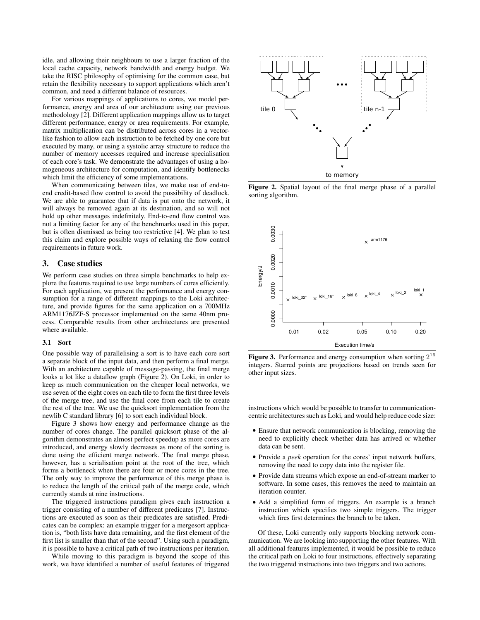idle, and allowing their neighbours to use a larger fraction of the local cache capacity, network bandwidth and energy budget. We take the RISC philosophy of optimising for the common case, but retain the flexibility necessary to support applications which aren't common, and need a different balance of resources.

For various mappings of applications to cores, we model performance, energy and area of our architecture using our previous methodology [2]. Different application mappings allow us to target different performance, energy or area requirements. For example, matrix multiplication can be distributed across cores in a vectorlike fashion to allow each instruction to be fetched by one core but executed by many, or using a systolic array structure to reduce the number of memory accesses required and increase specialisation of each core's task. We demonstrate the advantages of using a homogeneous architecture for computation, and identify bottlenecks which limit the efficiency of some implementations.

When communicating between tiles, we make use of end-toend credit-based flow control to avoid the possibility of deadlock. We are able to guarantee that if data is put onto the network, it will always be removed again at its destination, and so will not hold up other messages indefinitely. End-to-end flow control was not a limiting factor for any of the benchmarks used in this paper, but is often dismissed as being too restrictive [4]. We plan to test this claim and explore possible ways of relaxing the flow control requirements in future work.

### 3. Case studies

We perform case studies on three simple benchmarks to help explore the features required to use large numbers of cores efficiently. For each application, we present the performance and energy consumption for a range of different mappings to the Loki architecture, and provide figures for the same application on a 700MHz ARM1176JZF-S processor implemented on the same 40nm process. Comparable results from other architectures are presented where available.

#### 3.1 Sort

One possible way of parallelising a sort is to have each core sort a separate block of the input data, and then perform a final merge. With an architecture capable of message-passing, the final merge looks a lot like a dataflow graph (Figure 2). On Loki, in order to keep as much communication on the cheaper local networks, we use seven of the eight cores on each tile to form the first three levels of the merge tree, and use the final core from each tile to create the rest of the tree. We use the quicksort implementation from the newlib C standard library [6] to sort each individual block.

Figure 3 shows how energy and performance change as the number of cores change. The parallel quicksort phase of the algorithm demonstrates an almost perfect speedup as more cores are introduced, and energy slowly decreases as more of the sorting is done using the efficient merge network. The final merge phase, however, has a serialisation point at the root of the tree, which forms a bottleneck when there are four or more cores in the tree. The only way to improve the performance of this merge phase is to reduce the length of the critical path of the merge code, which currently stands at nine instructions.

The triggered instructions paradigm gives each instruction a trigger consisting of a number of different predicates [7]. Instructions are executed as soon as their predicates are satisfied. Predicates can be complex: an example trigger for a mergesort application is, "both lists have data remaining, and the first element of the first list is smaller than that of the second". Using such a paradigm, it is possible to have a critical path of two instructions per iteration.

While moving to this paradigm is beyond the scope of this work, we have identified a number of useful features of triggered



Figure 2. Spatial layout of the final merge phase of a parallel sorting algorithm.



Figure 3. Performance and energy consumption when sorting  $2^{16}$ integers. Starred points are projections based on trends seen for other input sizes.

instructions which would be possible to transfer to communicationcentric architectures such as Loki, and would help reduce code size:

- Ensure that network communication is blocking, removing the need to explicitly check whether data has arrived or whether data can be sent.
- Provide a *peek* operation for the cores' input network buffers, removing the need to copy data into the register file.
- Provide data streams which expose an end-of-stream marker to software. In some cases, this removes the need to maintain an iteration counter.
- Add a simplified form of triggers. An example is a branch instruction which specifies two simple triggers. The trigger which fires first determines the branch to be taken.

Of these, Loki currently only supports blocking network communication. We are looking into supporting the other features. With all additional features implemented, it would be possible to reduce the critical path on Loki to four instructions, effectively separating the two triggered instructions into two triggers and two actions.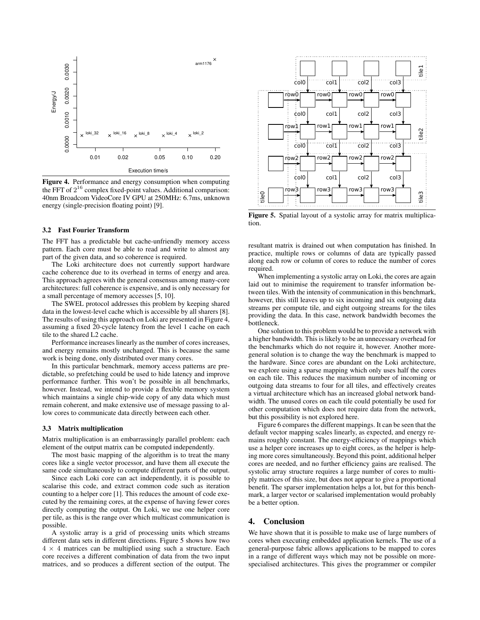

Figure 4. Performance and energy consumption when computing the FFT of  $2^{16}$  complex fixed-point values. Additional comparison: 40nm Broadcom VideoCore IV GPU at 250MHz: 6.7ms, unknown energy (single-precision floating point) [9].

#### 3.2 Fast Fourier Transform

The FFT has a predictable but cache-unfriendly memory access pattern. Each core must be able to read and write to almost any part of the given data, and so coherence is required.

The Loki architecture does not currently support hardware cache coherence due to its overhead in terms of energy and area. This approach agrees with the general consensus among many-core architectures: full coherence is expensive, and is only necessary for a small percentage of memory accesses [5, 10].

The SWEL protocol addresses this problem by keeping shared data in the lowest-level cache which is accessible by all sharers [8]. The results of using this approach on Loki are presented in Figure 4, assuming a fixed 20-cycle latency from the level 1 cache on each tile to the shared L2 cache.

Performance increases linearly as the number of cores increases, and energy remains mostly unchanged. This is because the same work is being done, only distributed over many cores.

In this particular benchmark, memory access patterns are predictable, so prefetching could be used to hide latency and improve performance further. This won't be possible in all benchmarks, however. Instead, we intend to provide a flexible memory system which maintains a single chip-wide copy of any data which must remain coherent, and make extensive use of message passing to allow cores to communicate data directly between each other.

#### 3.3 Matrix multiplication

Matrix multiplication is an embarrassingly parallel problem: each element of the output matrix can be computed independently.

The most basic mapping of the algorithm is to treat the many cores like a single vector processor, and have them all execute the same code simultaneously to compute different parts of the output.

Since each Loki core can act independently, it is possible to scalarise this code, and extract common code such as iteration counting to a helper core [1]. This reduces the amount of code executed by the remaining cores, at the expense of having fewer cores directly computing the output. On Loki, we use one helper core per tile, as this is the range over which multicast communication is possible.

A systolic array is a grid of processing units which streams different data sets in different directions. Figure 5 shows how two  $4 \times 4$  matrices can be multiplied using such a structure. Each core receives a different combination of data from the two input matrices, and so produces a different section of the output. The



Figure 5. Spatial layout of a systolic array for matrix multiplication.

resultant matrix is drained out when computation has finished. In practice, multiple rows or columns of data are typically passed along each row or column of cores to reduce the number of cores required.

When implementing a systolic array on Loki, the cores are again laid out to minimise the requirement to transfer information between tiles. With the intensity of communication in this benchmark, however, this still leaves up to six incoming and six outgoing data streams per compute tile, and eight outgoing streams for the tiles providing the data. In this case, network bandwidth becomes the bottleneck.

One solution to this problem would be to provide a network with a higher bandwidth. This is likely to be an unnecessary overhead for the benchmarks which do not require it, however. Another moregeneral solution is to change the way the benchmark is mapped to the hardware. Since cores are abundant on the Loki architecture, we explore using a sparse mapping which only uses half the cores on each tile. This reduces the maximum number of incoming or outgoing data streams to four for all tiles, and effectively creates a virtual architecture which has an increased global network bandwidth. The unused cores on each tile could potentially be used for other computation which does not require data from the network, but this possibility is not explored here.

Figure 6 compares the different mappings. It can be seen that the default vector mapping scales linearly, as expected, and energy remains roughly constant. The energy-efficiency of mappings which use a helper core increases up to eight cores, as the helper is helping more cores simultaneously. Beyond this point, additional helper cores are needed, and no further efficiency gains are realised. The systolic array structure requires a large number of cores to multiply matrices of this size, but does not appear to give a proportional benefit. The sparser implementation helps a lot, but for this benchmark, a larger vector or scalarised implementation would probably be a better option.

## 4. Conclusion

We have shown that it is possible to make use of large numbers of cores when executing embedded application kernels. The use of a general-purpose fabric allows applications to be mapped to cores in a range of different ways which may not be possible on morespecialised architectures. This gives the programmer or compiler